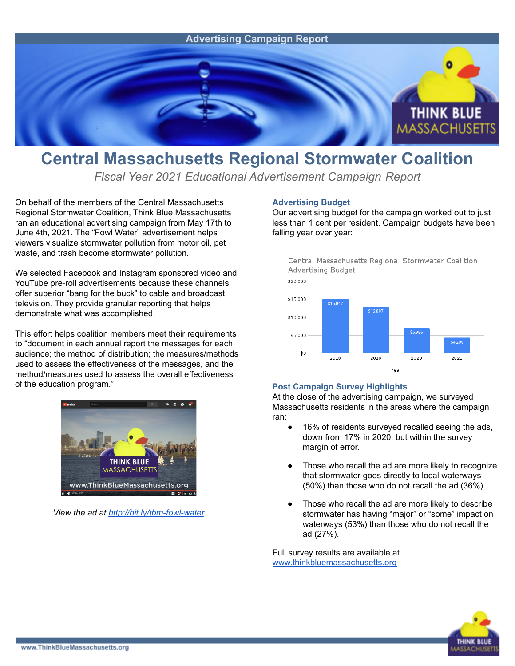

## **Central Massachusetts Regional Stormwater Coalition**

*Fiscal Year 2021 Educational Advertisement Campaign Report*

On behalf of the members of the Central Massachusetts Regional Stormwater Coalition, Think Blue Massachusetts ran an educational advertising campaign from May 17th to June 4th, 2021. The "Fowl Water" advertisement helps viewers visualize stormwater pollution from motor oil, pet waste, and trash become stormwater pollution.

We selected Facebook and Instagram sponsored video and YouTube pre-roll advertisements because these channels offer superior "bang for the buck" to cable and broadcast television. They provide granular reporting that helps demonstrate what was accomplished.

This effort helps coalition members meet their requirements to "document in each annual report the messages for each audience; the method of distribution; the measures/methods used to assess the effectiveness of the messages, and the method/measures used to assess the overall effectiveness of the education program."



*View the ad at <http://bit.ly/tbm-fowl-water>*

## **Advertising Budget**

Our advertising budget for the campaign worked out to just less than 1 cent per resident. Campaign budgets have been falling year over year:



## **Post Campaign Survey Highlights**

At the close of the advertising campaign, we surveyed Massachusetts residents in the areas where the campaign ran:

- 16% of residents surveyed recalled seeing the ads, down from 17% in 2020, but within the survey margin of error.
- Those who recall the ad are more likely to recognize that stormwater goes directly to local waterways (50%) than those who do not recall the ad (36%).
- Those who recall the ad are more likely to describe stormwater has having "major" or "some" impact on waterways (53%) than those who do not recall the ad (27%).

Full survey results are available at [www.thinkbluemassachusetts.org](http://www.thinkbluemassachusetts.org)

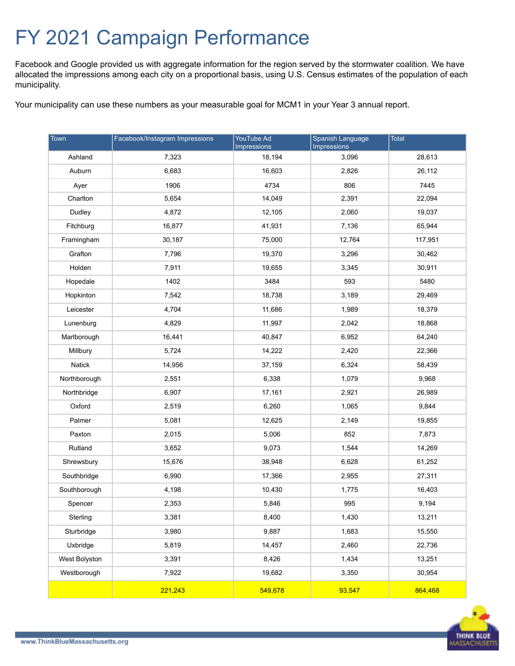## FY 2021 Campaign Performance

Facebook and Google provided us with aggregate information for the region served by the stormwater coalition. We have allocated the impressions among each city on a proportional basis, using U.S. Census estimates of the population of each municipality.

Your municipality can use these numbers as your measurable goal for MCM1 in your Year 3 annual report.

| Town          | Facebook/Instagram Impressions | YouTube Ad<br><b>Impressions</b> | Spanish Language<br><b>Impressions</b> | Total   |
|---------------|--------------------------------|----------------------------------|----------------------------------------|---------|
| Ashland       | 7,323                          | 18,194                           | 3,096                                  | 28,613  |
| Auburn        | 6,683                          | 16,603                           | 2,826                                  | 26,112  |
| Ayer          | 1906                           | 4734                             | 806                                    | 7445    |
| Charlton      | 5,654                          | 14,049                           | 2,391                                  | 22,094  |
| Dudley        | 4,872                          | 12,105                           | 2,060                                  | 19,037  |
| Fitchburg     | 16,877                         | 41,931                           | 7,136                                  | 65,944  |
| Framingham    | 30,187                         | 75,000                           | 12,764                                 | 117,951 |
| Grafton       | 7,796                          | 19,370                           | 3,296                                  | 30,462  |
| Holden        | 7,911                          | 19,655                           | 3,345                                  | 30,911  |
| Hopedale      | 1402                           | 3484                             | 593                                    | 5480    |
| Hopkinton     | 7,542                          | 18,738                           | 3,189                                  | 29,469  |
| Leicester     | 4,704                          | 11,686                           | 1,989                                  | 18,379  |
| Lunenburg     | 4,829                          | 11,997                           | 2,042                                  | 18,868  |
| Marlborough   | 16,441                         | 40,847                           | 6,952                                  | 64,240  |
| Millbury      | 5,724                          | 14,222                           | 2,420                                  | 22,366  |
| Natick        | 14,956                         | 37,159                           | 6,324                                  | 58,439  |
| Northborough  | 2,551                          | 6,338                            | 1,079                                  | 9,968   |
| Northbridge   | 6,907                          | 17,161                           | 2,921                                  | 26,989  |
| Oxford        | 2,519                          | 6,260                            | 1,065                                  | 9,844   |
| Palmer        | 5,081                          | 12,625                           | 2,149                                  | 19,855  |
| Paxton        | 2,015                          | 5,006                            | 852                                    | 7,873   |
| Rutland       | 3,652                          | 9,073                            | 1,544                                  | 14,269  |
| Shrewsbury    | 15,676                         | 38,948                           | 6,628                                  | 61,252  |
| Southbridge   | 6,990                          | 17,366                           | 2,955                                  | 27,311  |
| Southborough  | 4,198                          | 10,430                           | 1,775                                  | 16,403  |
| Spencer       | 2,353                          | 5,846                            | 995                                    | 9,194   |
| Sterling      | 3,381                          | 8,400                            | 1,430                                  | 13,211  |
| Sturbridge    | 3,980                          | 9,887                            | 1,683                                  | 15,550  |
| Uxbridge      | 5,819                          | 14,457                           | 2,460                                  | 22,736  |
| West Bolyston | 3,391                          | 8,426                            | 1,434                                  | 13,251  |
| Westborough   | 7,922                          | 19,682                           | 3,350                                  | 30,954  |
|               | 221,243                        | 549,678                          | 93,547                                 | 864,468 |